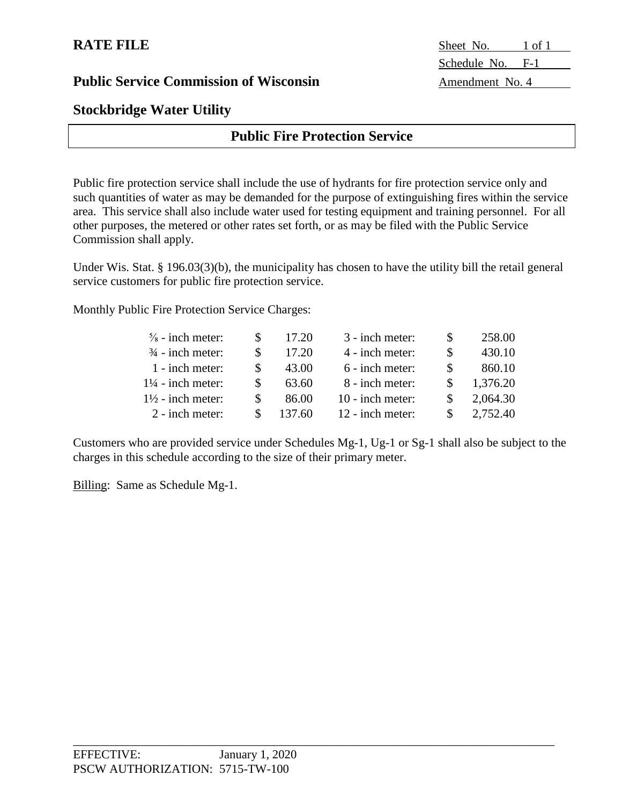## **Stockbridge Water Utility**

## **Public Fire Protection Service**

Public fire protection service shall include the use of hydrants for fire protection service only and such quantities of water as may be demanded for the purpose of extinguishing fires within the service area. This service shall also include water used for testing equipment and training personnel. For all other purposes, the metered or other rates set forth, or as may be filed with the Public Service Commission shall apply.

Under Wis. Stat. § 196.03(3)(b), the municipality has chosen to have the utility bill the retail general service customers for public fire protection service.

Monthly Public Fire Protection Service Charges:

| $\frac{5}{8}$ - inch meter:  |     | 17.20  | 3 - inch meter:  | 258.00   |
|------------------------------|-----|--------|------------------|----------|
| $\frac{3}{4}$ - inch meter:  |     | 17.20  | 4 - inch meter:  | 430.10   |
| 1 - inch meter:              |     | 43.00  | 6 - inch meter:  | 860.10   |
| $1\frac{1}{4}$ - inch meter: | \$. | 63.60  | 8 - inch meter:  | 1,376.20 |
| $1\frac{1}{2}$ - inch meter: |     | 86.00  | 10 - inch meter: | 2,064.30 |
| 2 - inch meter:              | £.  | 137.60 | 12 - inch meter: | 2,752.40 |

Customers who are provided service under Schedules Mg-1, Ug-1 or Sg-1 shall also be subject to the charges in this schedule according to the size of their primary meter.

\_\_\_\_\_\_\_\_\_\_\_\_\_\_\_\_\_\_\_\_\_\_\_\_\_\_\_\_\_\_\_\_\_\_\_\_\_\_\_\_\_\_\_\_\_\_\_\_\_\_\_\_\_\_\_\_\_\_\_\_\_\_\_\_\_\_\_\_\_\_\_\_\_\_\_\_\_\_\_

Billing: Same as Schedule Mg-1.

**RATE FILE** Sheet No. 1 of 1 Schedule No. F-1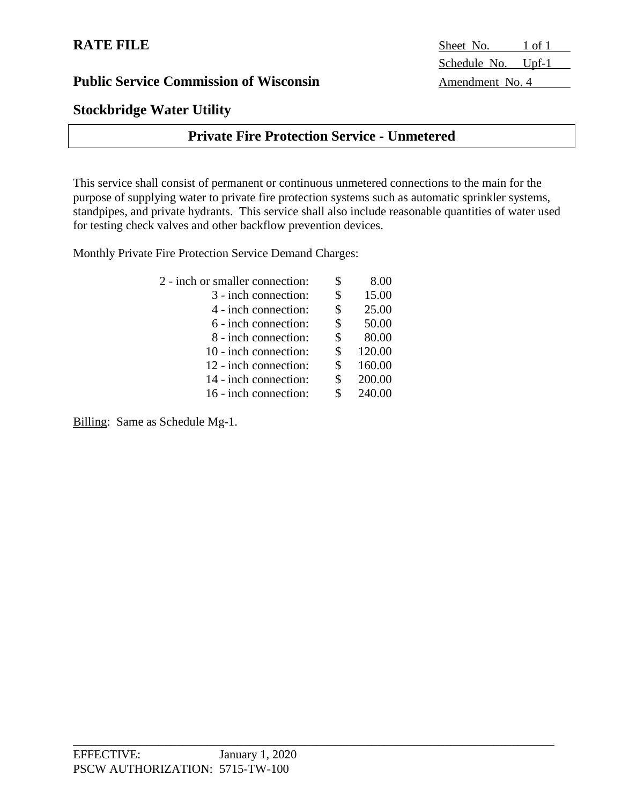# **Stockbridge Water Utility**

# **Private Fire Protection Service - Unmetered**

This service shall consist of permanent or continuous unmetered connections to the main for the purpose of supplying water to private fire protection systems such as automatic sprinkler systems, standpipes, and private hydrants. This service shall also include reasonable quantities of water used for testing check valves and other backflow prevention devices.

Monthly Private Fire Protection Service Demand Charges:

| 2 - inch or smaller connection: | \$<br>8.00   |
|---------------------------------|--------------|
| 3 - inch connection:            | \$<br>15.00  |
| 4 - inch connection:            | \$<br>25.00  |
| 6 - inch connection:            | \$<br>50.00  |
| 8 - inch connection:            | \$<br>80.00  |
| 10 - inch connection:           | \$<br>120.00 |
| 12 - inch connection:           | \$<br>160.00 |
| 14 - inch connection:           | \$<br>200.00 |
| 16 - inch connection:           | 240.00       |
|                                 |              |

Billing: Same as Schedule Mg-1.

**RATE FILE** Sheet No. 1 of 1 Schedule No. Upf-1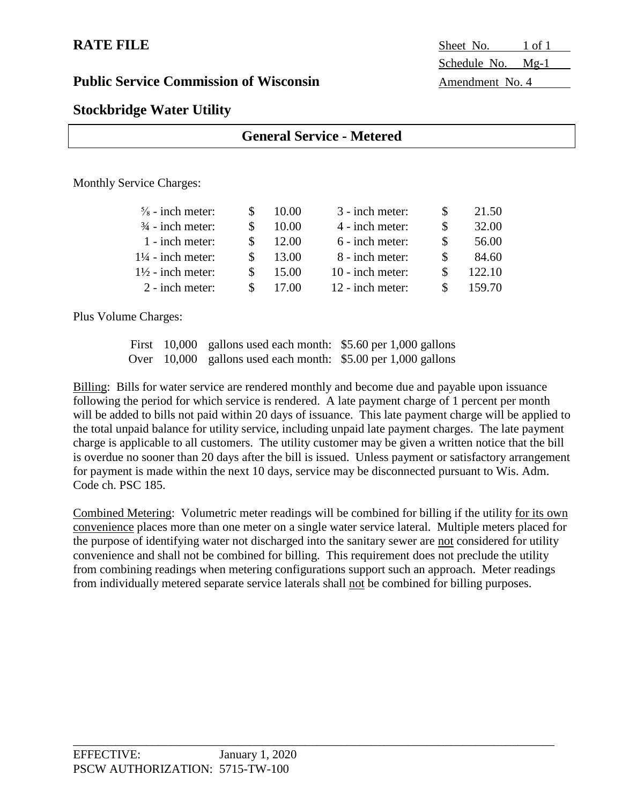**RATE FILE** Sheet No. 1 of 1 Schedule No. Mg-1

# **Stockbridge Water Utility**

|                                 | <b>General Service - Metered</b> |       |                 |  |       |  |
|---------------------------------|----------------------------------|-------|-----------------|--|-------|--|
| <b>Monthly Service Charges:</b> |                                  |       |                 |  |       |  |
| $\frac{5}{8}$ - inch meter:     | <sup>\$</sup>                    | 10.00 | 3 - inch meter: |  | 21.50 |  |

| 32.00  |
|--------|
| 56.00  |
| 84.60  |
| 122.10 |
| 159.70 |
|        |

Plus Volume Charges:

First 10,000 gallons used each month: \$5.60 per 1,000 gallons Over 10,000 gallons used each month: \$5.00 per 1,000 gallons

Billing: Bills for water service are rendered monthly and become due and payable upon issuance following the period for which service is rendered. A late payment charge of 1 percent per month will be added to bills not paid within 20 days of issuance. This late payment charge will be applied to the total unpaid balance for utility service, including unpaid late payment charges. The late payment charge is applicable to all customers. The utility customer may be given a written notice that the bill is overdue no sooner than 20 days after the bill is issued. Unless payment or satisfactory arrangement for payment is made within the next 10 days, service may be disconnected pursuant to Wis. Adm. Code ch. PSC 185.

Combined Metering: Volumetric meter readings will be combined for billing if the utility for its own convenience places more than one meter on a single water service lateral. Multiple meters placed for the purpose of identifying water not discharged into the sanitary sewer are not considered for utility convenience and shall not be combined for billing. This requirement does not preclude the utility from combining readings when metering configurations support such an approach. Meter readings from individually metered separate service laterals shall not be combined for billing purposes.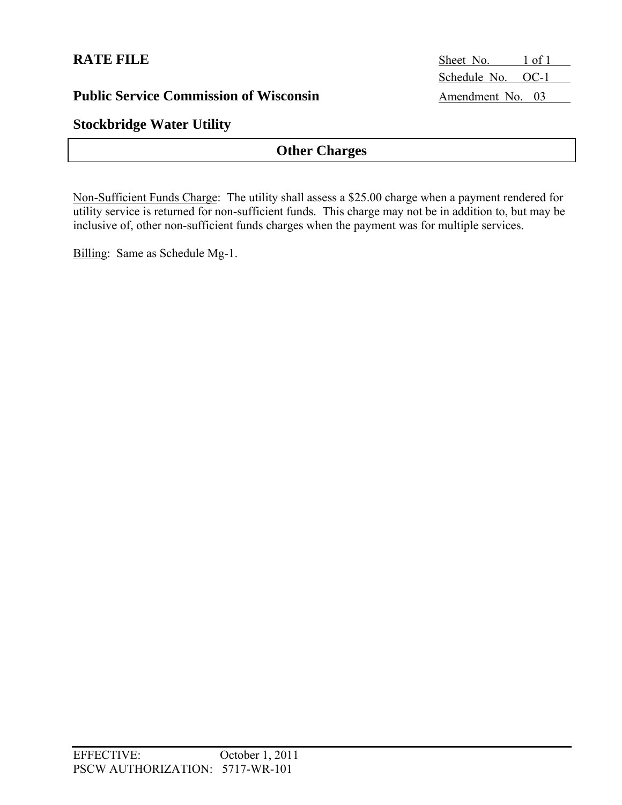## **Stockbridge Water Utility**

## **Other Charges**

Non-Sufficient Funds Charge: The utility shall assess a \$25.00 charge when a payment rendered for utility service is returned for non-sufficient funds. This charge may not be in addition to, but may be inclusive of, other non-sufficient funds charges when the payment was for multiple services.

Billing: Same as Schedule Mg-1.

**RATE FILE** Sheet No. 1 of 1 Schedule No. OC-1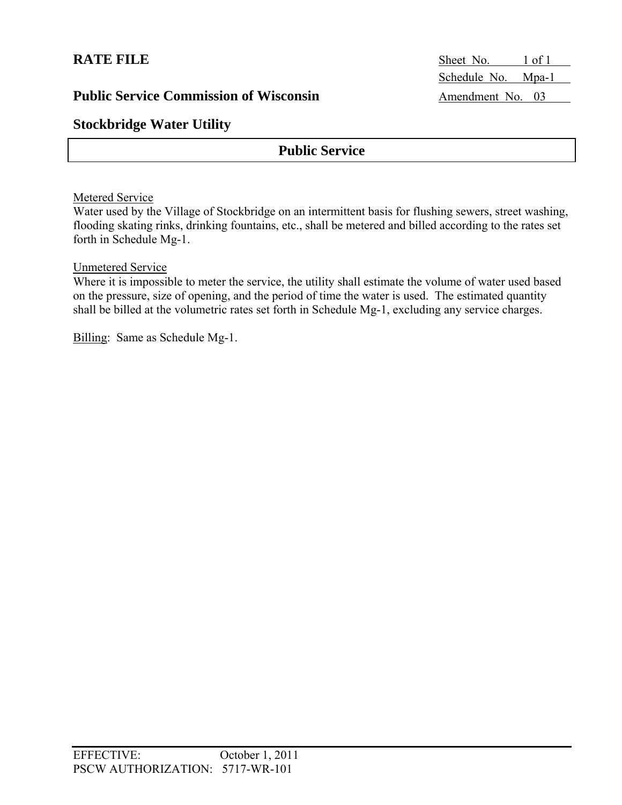**Stockbridge Water Utility** 

## **Public Service**

### Metered Service

Water used by the Village of Stockbridge on an intermittent basis for flushing sewers, street washing, flooding skating rinks, drinking fountains, etc., shall be metered and billed according to the rates set forth in Schedule Mg-1.

### Unmetered Service

Where it is impossible to meter the service, the utility shall estimate the volume of water used based on the pressure, size of opening, and the period of time the water is used. The estimated quantity shall be billed at the volumetric rates set forth in Schedule Mg-1, excluding any service charges.

Billing: Same as Schedule Mg-1.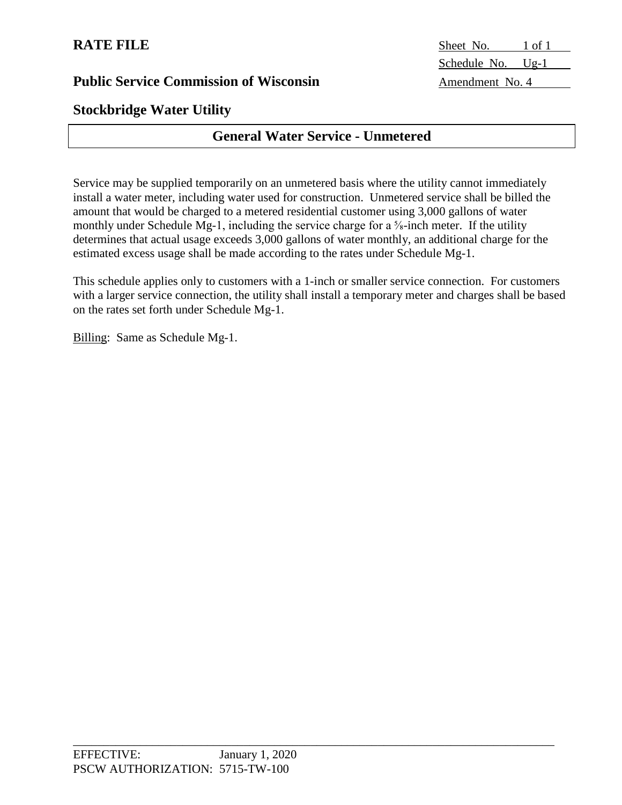# **Stockbridge Water Utility**

# **General Water Service - Unmetered**

Service may be supplied temporarily on an unmetered basis where the utility cannot immediately install a water meter, including water used for construction. Unmetered service shall be billed the amount that would be charged to a metered residential customer using 3,000 gallons of water monthly under Schedule Mg-1, including the service charge for a <sup>5</sup>/<sub>8</sub>-inch meter. If the utility determines that actual usage exceeds 3,000 gallons of water monthly, an additional charge for the estimated excess usage shall be made according to the rates under Schedule Mg-1.

This schedule applies only to customers with a 1-inch or smaller service connection. For customers with a larger service connection, the utility shall install a temporary meter and charges shall be based on the rates set forth under Schedule Mg-1.

Billing: Same as Schedule Mg-1.

**RATE FILE** Sheet No. 1 of 1 Schedule No. Ug-1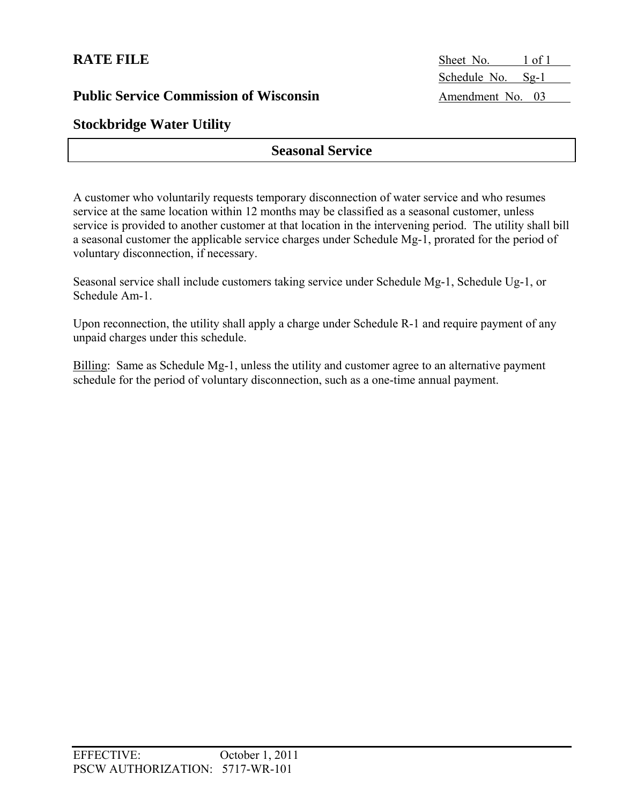**RATE FILE** Sheet No. 1 of 1 Schedule No. Sg-1

# **Stockbridge Water Utility**

## **Seasonal Service**

A customer who voluntarily requests temporary disconnection of water service and who resumes service at the same location within 12 months may be classified as a seasonal customer, unless service is provided to another customer at that location in the intervening period. The utility shall bill a seasonal customer the applicable service charges under Schedule Mg-1, prorated for the period of voluntary disconnection, if necessary.

Seasonal service shall include customers taking service under Schedule Mg-1, Schedule Ug-1, or Schedule Am-1.

Upon reconnection, the utility shall apply a charge under Schedule R-1 and require payment of any unpaid charges under this schedule.

Billing: Same as Schedule Mg-1, unless the utility and customer agree to an alternative payment schedule for the period of voluntary disconnection, such as a one-time annual payment.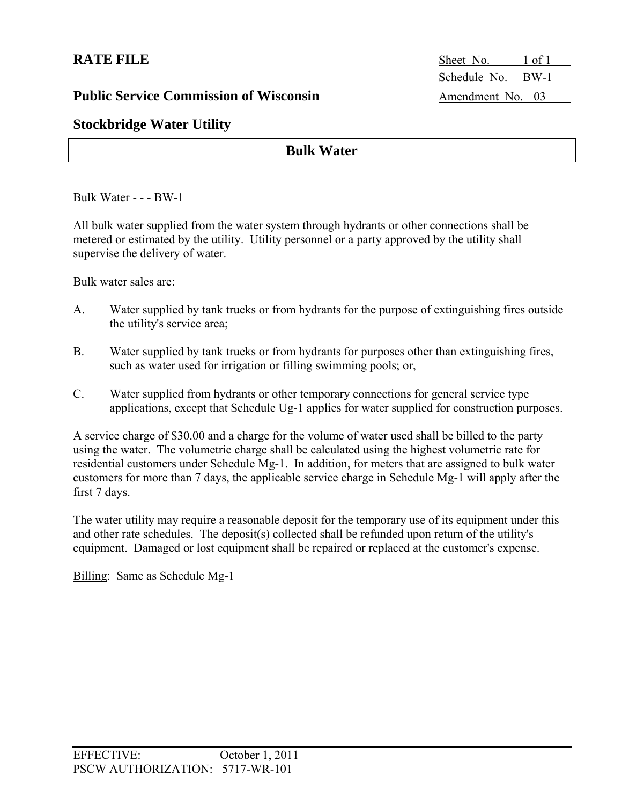**RATE FILE** Sheet No. 1 of 1 Schedule No. BW-1

## **Stockbridge Water Utility**

## **Bulk Water**

### Bulk Water - - - BW-1

All bulk water supplied from the water system through hydrants or other connections shall be metered or estimated by the utility. Utility personnel or a party approved by the utility shall supervise the delivery of water.

Bulk water sales are:

- A. Water supplied by tank trucks or from hydrants for the purpose of extinguishing fires outside the utility's service area;
- B. Water supplied by tank trucks or from hydrants for purposes other than extinguishing fires, such as water used for irrigation or filling swimming pools; or,
- C. Water supplied from hydrants or other temporary connections for general service type applications, except that Schedule Ug-1 applies for water supplied for construction purposes.

A service charge of \$30.00 and a charge for the volume of water used shall be billed to the party using the water. The volumetric charge shall be calculated using the highest volumetric rate for residential customers under Schedule Mg-1. In addition, for meters that are assigned to bulk water customers for more than 7 days, the applicable service charge in Schedule Mg-1 will apply after the first 7 days.

The water utility may require a reasonable deposit for the temporary use of its equipment under this and other rate schedules. The deposit(s) collected shall be refunded upon return of the utility's equipment. Damaged or lost equipment shall be repaired or replaced at the customer's expense.

Billing: Same as Schedule Mg-1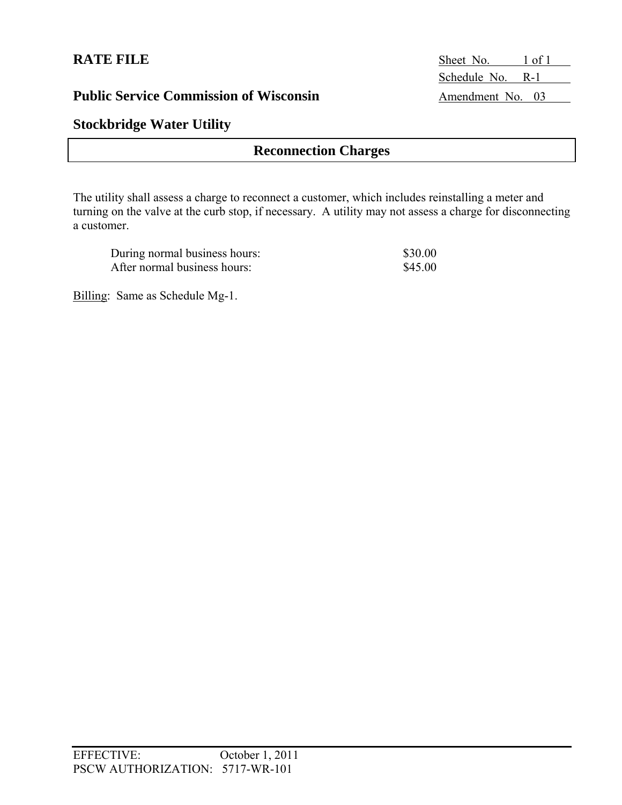## **Stockbridge Water Utility**

## **Reconnection Charges**

The utility shall assess a charge to reconnect a customer, which includes reinstalling a meter and turning on the valve at the curb stop, if necessary. A utility may not assess a charge for disconnecting a customer.

| During normal business hours: | \$30.00 |
|-------------------------------|---------|
| After normal business hours:  | \$45.00 |

Billing: Same as Schedule Mg-1.

**RATE FILE** Sheet No. 1 of 1 Schedule No. R-1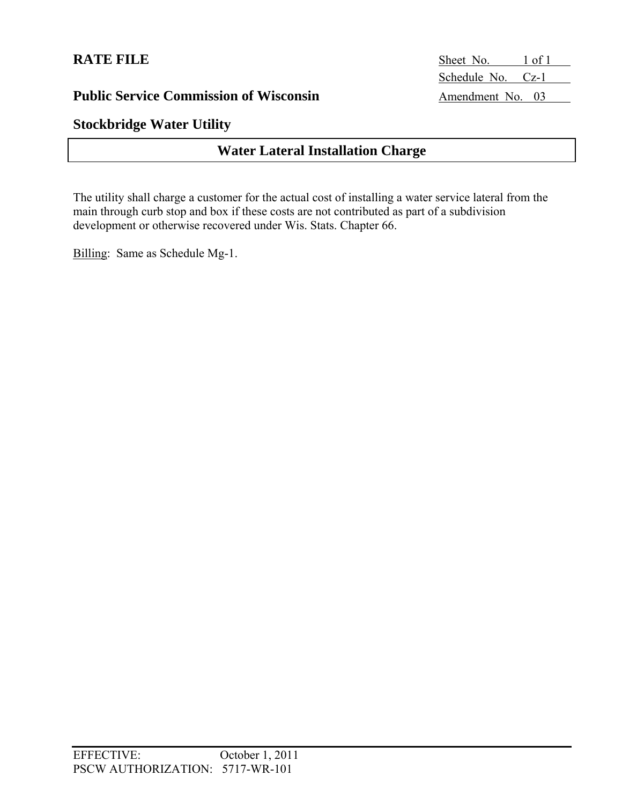**RATE FILE** Sheet No. 1 of 1 Schedule No. Cz-1

## **Stockbridge Water Utility**

## **Water Lateral Installation Charge**

The utility shall charge a customer for the actual cost of installing a water service lateral from the main through curb stop and box if these costs are not contributed as part of a subdivision development or otherwise recovered under Wis. Stats. Chapter 66.

Billing: Same as Schedule Mg-1.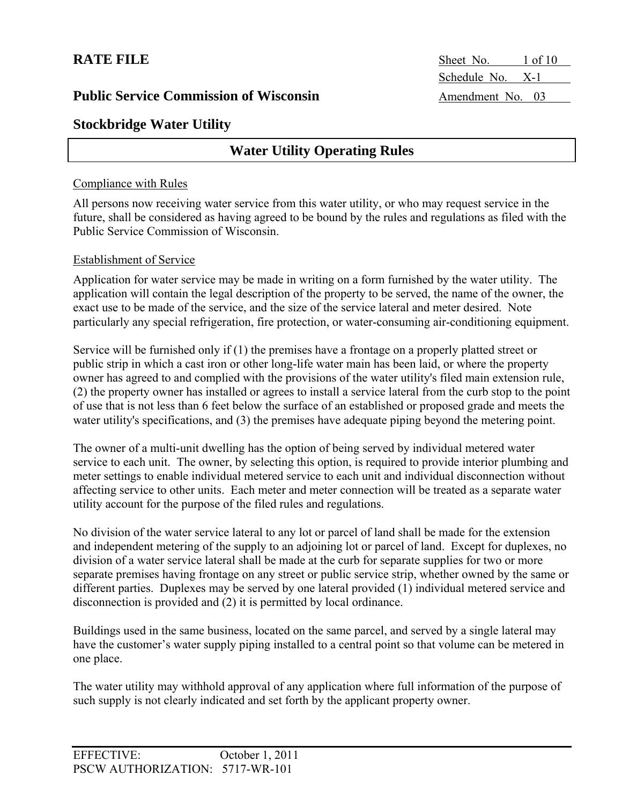**RATE FILE** Sheet No. 1 of 10 Schedule No. X-1

## **Stockbridge Water Utility**

## **Water Utility Operating Rules**

### Compliance with Rules

All persons now receiving water service from this water utility, or who may request service in the future, shall be considered as having agreed to be bound by the rules and regulations as filed with the Public Service Commission of Wisconsin.

### Establishment of Service

Application for water service may be made in writing on a form furnished by the water utility. The application will contain the legal description of the property to be served, the name of the owner, the exact use to be made of the service, and the size of the service lateral and meter desired. Note particularly any special refrigeration, fire protection, or water-consuming air-conditioning equipment.

Service will be furnished only if (1) the premises have a frontage on a properly platted street or public strip in which a cast iron or other long-life water main has been laid, or where the property owner has agreed to and complied with the provisions of the water utility's filed main extension rule, (2) the property owner has installed or agrees to install a service lateral from the curb stop to the point of use that is not less than 6 feet below the surface of an established or proposed grade and meets the water utility's specifications, and (3) the premises have adequate piping beyond the metering point.

The owner of a multi-unit dwelling has the option of being served by individual metered water service to each unit. The owner, by selecting this option, is required to provide interior plumbing and meter settings to enable individual metered service to each unit and individual disconnection without affecting service to other units. Each meter and meter connection will be treated as a separate water utility account for the purpose of the filed rules and regulations.

No division of the water service lateral to any lot or parcel of land shall be made for the extension and independent metering of the supply to an adjoining lot or parcel of land. Except for duplexes, no division of a water service lateral shall be made at the curb for separate supplies for two or more separate premises having frontage on any street or public service strip, whether owned by the same or different parties. Duplexes may be served by one lateral provided (1) individual metered service and disconnection is provided and (2) it is permitted by local ordinance.

Buildings used in the same business, located on the same parcel, and served by a single lateral may have the customer's water supply piping installed to a central point so that volume can be metered in one place.

The water utility may withhold approval of any application where full information of the purpose of such supply is not clearly indicated and set forth by the applicant property owner.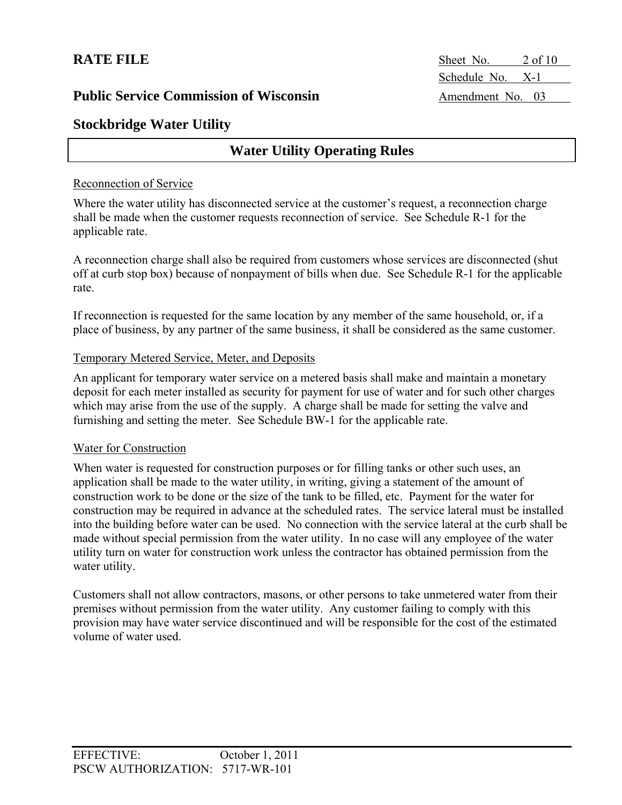**RATE FILE** Sheet No. 2 of 10 Schedule No. X-1

## **Stockbridge Water Utility**

## **Water Utility Operating Rules**

### Reconnection of Service

Where the water utility has disconnected service at the customer's request, a reconnection charge shall be made when the customer requests reconnection of service. See Schedule R-1 for the applicable rate.

A reconnection charge shall also be required from customers whose services are disconnected (shut off at curb stop box) because of nonpayment of bills when due. See Schedule R-1 for the applicable rate.

If reconnection is requested for the same location by any member of the same household, or, if a place of business, by any partner of the same business, it shall be considered as the same customer.

### Temporary Metered Service, Meter, and Deposits

An applicant for temporary water service on a metered basis shall make and maintain a monetary deposit for each meter installed as security for payment for use of water and for such other charges which may arise from the use of the supply. A charge shall be made for setting the valve and furnishing and setting the meter. See Schedule BW-1 for the applicable rate.

### Water for Construction

When water is requested for construction purposes or for filling tanks or other such uses, an application shall be made to the water utility, in writing, giving a statement of the amount of construction work to be done or the size of the tank to be filled, etc. Payment for the water for construction may be required in advance at the scheduled rates. The service lateral must be installed into the building before water can be used. No connection with the service lateral at the curb shall be made without special permission from the water utility. In no case will any employee of the water utility turn on water for construction work unless the contractor has obtained permission from the water utility.

Customers shall not allow contractors, masons, or other persons to take unmetered water from their premises without permission from the water utility. Any customer failing to comply with this provision may have water service discontinued and will be responsible for the cost of the estimated volume of water used.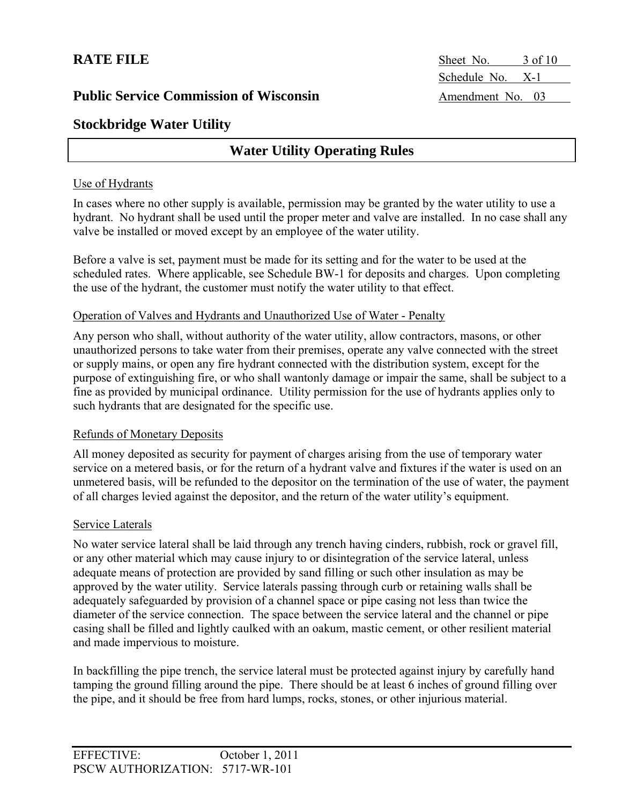**RATE FILE** Sheet No. 3 of 10 Schedule No. X-1

## **Stockbridge Water Utility**

## **Water Utility Operating Rules**

### Use of Hydrants

In cases where no other supply is available, permission may be granted by the water utility to use a hydrant. No hydrant shall be used until the proper meter and valve are installed. In no case shall any valve be installed or moved except by an employee of the water utility.

Before a valve is set, payment must be made for its setting and for the water to be used at the scheduled rates. Where applicable, see Schedule BW-1 for deposits and charges. Upon completing the use of the hydrant, the customer must notify the water utility to that effect.

### Operation of Valves and Hydrants and Unauthorized Use of Water - Penalty

Any person who shall, without authority of the water utility, allow contractors, masons, or other unauthorized persons to take water from their premises, operate any valve connected with the street or supply mains, or open any fire hydrant connected with the distribution system, except for the purpose of extinguishing fire, or who shall wantonly damage or impair the same, shall be subject to a fine as provided by municipal ordinance. Utility permission for the use of hydrants applies only to such hydrants that are designated for the specific use.

### Refunds of Monetary Deposits

All money deposited as security for payment of charges arising from the use of temporary water service on a metered basis, or for the return of a hydrant valve and fixtures if the water is used on an unmetered basis, will be refunded to the depositor on the termination of the use of water, the payment of all charges levied against the depositor, and the return of the water utility's equipment.

### Service Laterals

No water service lateral shall be laid through any trench having cinders, rubbish, rock or gravel fill, or any other material which may cause injury to or disintegration of the service lateral, unless adequate means of protection are provided by sand filling or such other insulation as may be approved by the water utility. Service laterals passing through curb or retaining walls shall be adequately safeguarded by provision of a channel space or pipe casing not less than twice the diameter of the service connection. The space between the service lateral and the channel or pipe casing shall be filled and lightly caulked with an oakum, mastic cement, or other resilient material and made impervious to moisture.

In backfilling the pipe trench, the service lateral must be protected against injury by carefully hand tamping the ground filling around the pipe. There should be at least 6 inches of ground filling over the pipe, and it should be free from hard lumps, rocks, stones, or other injurious material.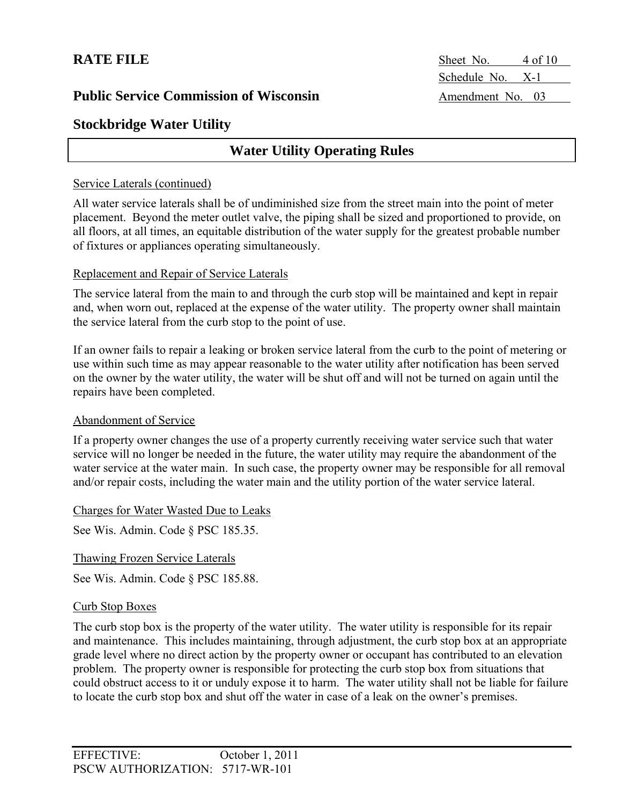**RATE FILE** Sheet No. 4 of 10 Schedule No. X-1

## **Stockbridge Water Utility**

## **Water Utility Operating Rules**

### Service Laterals (continued)

All water service laterals shall be of undiminished size from the street main into the point of meter placement. Beyond the meter outlet valve, the piping shall be sized and proportioned to provide, on all floors, at all times, an equitable distribution of the water supply for the greatest probable number of fixtures or appliances operating simultaneously.

### Replacement and Repair of Service Laterals

The service lateral from the main to and through the curb stop will be maintained and kept in repair and, when worn out, replaced at the expense of the water utility. The property owner shall maintain the service lateral from the curb stop to the point of use.

If an owner fails to repair a leaking or broken service lateral from the curb to the point of metering or use within such time as may appear reasonable to the water utility after notification has been served on the owner by the water utility, the water will be shut off and will not be turned on again until the repairs have been completed.

### Abandonment of Service

If a property owner changes the use of a property currently receiving water service such that water service will no longer be needed in the future, the water utility may require the abandonment of the water service at the water main. In such case, the property owner may be responsible for all removal and/or repair costs, including the water main and the utility portion of the water service lateral.

### Charges for Water Wasted Due to Leaks

See Wis. Admin. Code § PSC 185.35.

Thawing Frozen Service Laterals

See Wis. Admin. Code § PSC 185.88.

### Curb Stop Boxes

The curb stop box is the property of the water utility. The water utility is responsible for its repair and maintenance. This includes maintaining, through adjustment, the curb stop box at an appropriate grade level where no direct action by the property owner or occupant has contributed to an elevation problem. The property owner is responsible for protecting the curb stop box from situations that could obstruct access to it or unduly expose it to harm. The water utility shall not be liable for failure to locate the curb stop box and shut off the water in case of a leak on the owner's premises.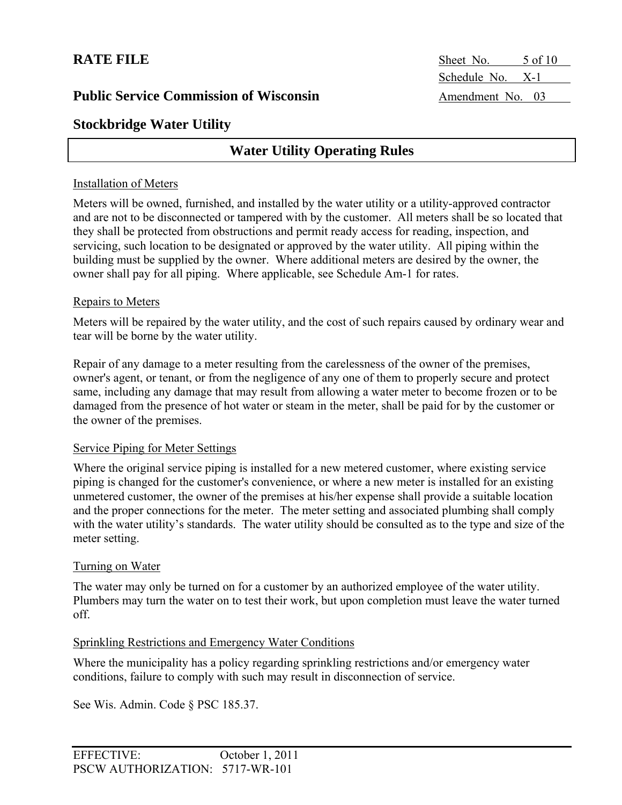**RATE FILE** Sheet No. 5 of 10 Schedule No. X-1

## **Stockbridge Water Utility**

## **Water Utility Operating Rules**

### Installation of Meters

Meters will be owned, furnished, and installed by the water utility or a utility-approved contractor and are not to be disconnected or tampered with by the customer. All meters shall be so located that they shall be protected from obstructions and permit ready access for reading, inspection, and servicing, such location to be designated or approved by the water utility. All piping within the building must be supplied by the owner. Where additional meters are desired by the owner, the owner shall pay for all piping. Where applicable, see Schedule Am-1 for rates.

### Repairs to Meters

Meters will be repaired by the water utility, and the cost of such repairs caused by ordinary wear and tear will be borne by the water utility.

Repair of any damage to a meter resulting from the carelessness of the owner of the premises, owner's agent, or tenant, or from the negligence of any one of them to properly secure and protect same, including any damage that may result from allowing a water meter to become frozen or to be damaged from the presence of hot water or steam in the meter, shall be paid for by the customer or the owner of the premises.

### Service Piping for Meter Settings

Where the original service piping is installed for a new metered customer, where existing service piping is changed for the customer's convenience, or where a new meter is installed for an existing unmetered customer, the owner of the premises at his/her expense shall provide a suitable location and the proper connections for the meter. The meter setting and associated plumbing shall comply with the water utility's standards. The water utility should be consulted as to the type and size of the meter setting.

### Turning on Water

The water may only be turned on for a customer by an authorized employee of the water utility. Plumbers may turn the water on to test their work, but upon completion must leave the water turned off.

### Sprinkling Restrictions and Emergency Water Conditions

Where the municipality has a policy regarding sprinkling restrictions and/or emergency water conditions, failure to comply with such may result in disconnection of service.

See Wis. Admin. Code § PSC 185.37.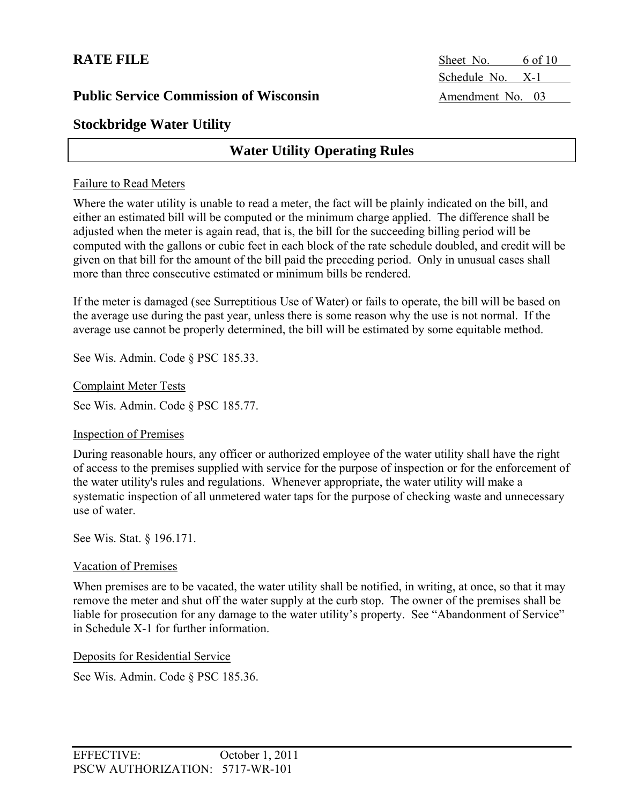**RATE FILE** Sheet No. 6 of 10 Schedule No. X-1

## **Stockbridge Water Utility**

## **Water Utility Operating Rules**

### Failure to Read Meters

Where the water utility is unable to read a meter, the fact will be plainly indicated on the bill, and either an estimated bill will be computed or the minimum charge applied. The difference shall be adjusted when the meter is again read, that is, the bill for the succeeding billing period will be computed with the gallons or cubic feet in each block of the rate schedule doubled, and credit will be given on that bill for the amount of the bill paid the preceding period. Only in unusual cases shall more than three consecutive estimated or minimum bills be rendered.

If the meter is damaged (see Surreptitious Use of Water) or fails to operate, the bill will be based on the average use during the past year, unless there is some reason why the use is not normal. If the average use cannot be properly determined, the bill will be estimated by some equitable method.

See Wis. Admin. Code § PSC 185.33.

Complaint Meter Tests

See Wis. Admin. Code § PSC 185.77.

### Inspection of Premises

During reasonable hours, any officer or authorized employee of the water utility shall have the right of access to the premises supplied with service for the purpose of inspection or for the enforcement of the water utility's rules and regulations. Whenever appropriate, the water utility will make a systematic inspection of all unmetered water taps for the purpose of checking waste and unnecessary use of water.

See Wis. Stat. § 196.171.

### Vacation of Premises

When premises are to be vacated, the water utility shall be notified, in writing, at once, so that it may remove the meter and shut off the water supply at the curb stop. The owner of the premises shall be liable for prosecution for any damage to the water utility's property. See "Abandonment of Service" in Schedule X-1 for further information.

Deposits for Residential Service

See Wis. Admin. Code § PSC 185.36.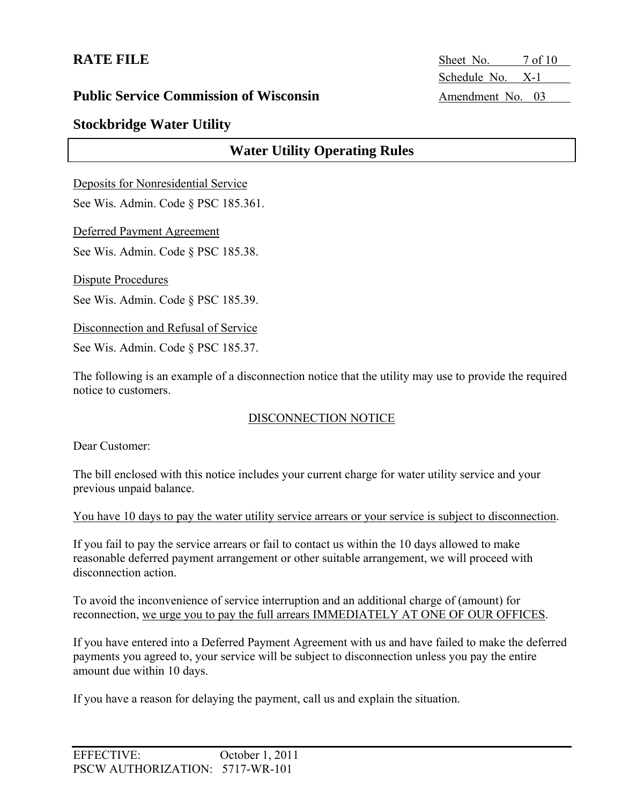**RATE FILE** Sheet No. 7 of 10 Schedule No. X-1

## **Public Service Commission of Wisconsin** Amendment No. 03

## **Stockbridge Water Utility**

## **Water Utility Operating Rules**

Deposits for Nonresidential Service

See Wis. Admin. Code § PSC 185.361.

Deferred Payment Agreement

See Wis. Admin. Code § PSC 185.38.

Dispute Procedures

See Wis. Admin. Code § PSC 185.39.

Disconnection and Refusal of Service

See Wis. Admin. Code § PSC 185.37.

The following is an example of a disconnection notice that the utility may use to provide the required notice to customers.

### DISCONNECTION NOTICE

Dear Customer:

The bill enclosed with this notice includes your current charge for water utility service and your previous unpaid balance.

You have 10 days to pay the water utility service arrears or your service is subject to disconnection.

If you fail to pay the service arrears or fail to contact us within the 10 days allowed to make reasonable deferred payment arrangement or other suitable arrangement, we will proceed with disconnection action.

To avoid the inconvenience of service interruption and an additional charge of (amount) for reconnection, we urge you to pay the full arrears IMMEDIATELY AT ONE OF OUR OFFICES.

If you have entered into a Deferred Payment Agreement with us and have failed to make the deferred payments you agreed to, your service will be subject to disconnection unless you pay the entire amount due within 10 days.

If you have a reason for delaying the payment, call us and explain the situation.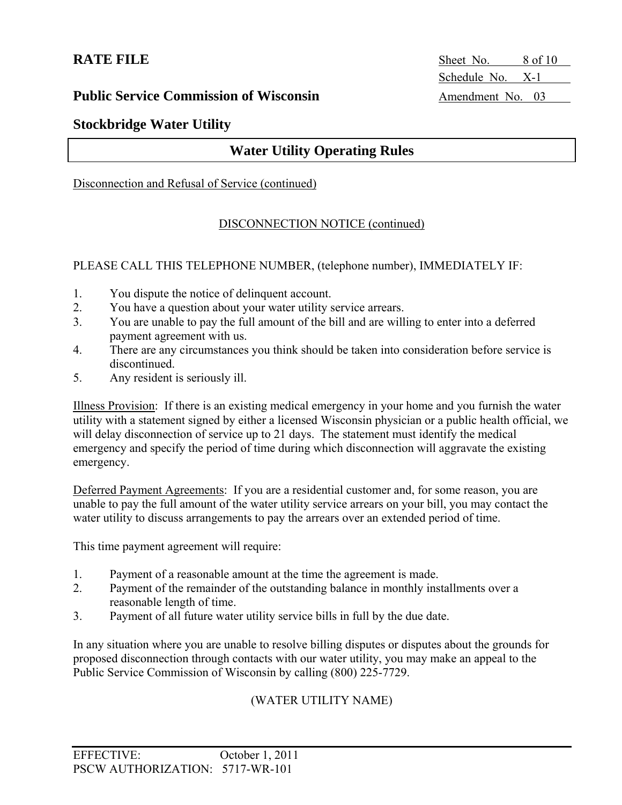**RATE FILE** Sheet No. 8 of 10 Schedule No. X-1

## **Public Service Commission of Wisconsin** Amendment No. 03

## **Stockbridge Water Utility**

## **Water Utility Operating Rules**

#### Disconnection and Refusal of Service (continued)

### DISCONNECTION NOTICE (continued)

PLEASE CALL THIS TELEPHONE NUMBER, (telephone number), IMMEDIATELY IF:

- 1. You dispute the notice of delinquent account.
- 2. You have a question about your water utility service arrears.
- 3. You are unable to pay the full amount of the bill and are willing to enter into a deferred payment agreement with us.
- 4. There are any circumstances you think should be taken into consideration before service is discontinued.
- 5. Any resident is seriously ill.

Illness Provision: If there is an existing medical emergency in your home and you furnish the water utility with a statement signed by either a licensed Wisconsin physician or a public health official, we will delay disconnection of service up to 21 days. The statement must identify the medical emergency and specify the period of time during which disconnection will aggravate the existing emergency.

Deferred Payment Agreements: If you are a residential customer and, for some reason, you are unable to pay the full amount of the water utility service arrears on your bill, you may contact the water utility to discuss arrangements to pay the arrears over an extended period of time.

This time payment agreement will require:

- 1. Payment of a reasonable amount at the time the agreement is made.
- 2. Payment of the remainder of the outstanding balance in monthly installments over a reasonable length of time.
- 3. Payment of all future water utility service bills in full by the due date.

In any situation where you are unable to resolve billing disputes or disputes about the grounds for proposed disconnection through contacts with our water utility, you may make an appeal to the Public Service Commission of Wisconsin by calling (800) 225-7729.

### (WATER UTILITY NAME)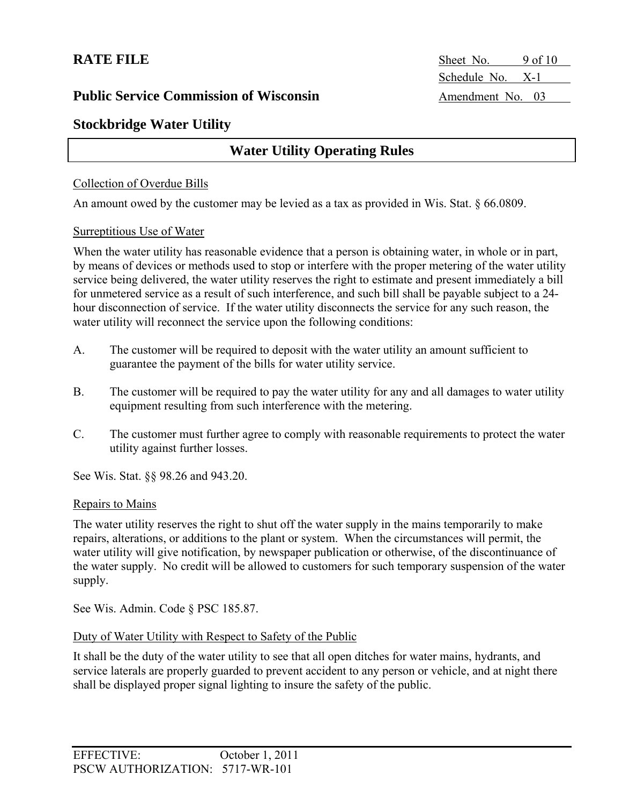**RATE FILE** Sheet No. 9 of 10 Schedule No. X-1

## **Stockbridge Water Utility**

## **Water Utility Operating Rules**

### Collection of Overdue Bills

An amount owed by the customer may be levied as a tax as provided in Wis. Stat. § 66.0809.

#### Surreptitious Use of Water

When the water utility has reasonable evidence that a person is obtaining water, in whole or in part, by means of devices or methods used to stop or interfere with the proper metering of the water utility service being delivered, the water utility reserves the right to estimate and present immediately a bill for unmetered service as a result of such interference, and such bill shall be payable subject to a 24 hour disconnection of service. If the water utility disconnects the service for any such reason, the water utility will reconnect the service upon the following conditions:

- A. The customer will be required to deposit with the water utility an amount sufficient to guarantee the payment of the bills for water utility service.
- B. The customer will be required to pay the water utility for any and all damages to water utility equipment resulting from such interference with the metering.
- C. The customer must further agree to comply with reasonable requirements to protect the water utility against further losses.

See Wis. Stat. §§ 98.26 and 943.20.

#### Repairs to Mains

The water utility reserves the right to shut off the water supply in the mains temporarily to make repairs, alterations, or additions to the plant or system. When the circumstances will permit, the water utility will give notification, by newspaper publication or otherwise, of the discontinuance of the water supply. No credit will be allowed to customers for such temporary suspension of the water supply.

See Wis. Admin. Code § PSC 185.87.

### Duty of Water Utility with Respect to Safety of the Public

It shall be the duty of the water utility to see that all open ditches for water mains, hydrants, and service laterals are properly guarded to prevent accident to any person or vehicle, and at night there shall be displayed proper signal lighting to insure the safety of the public.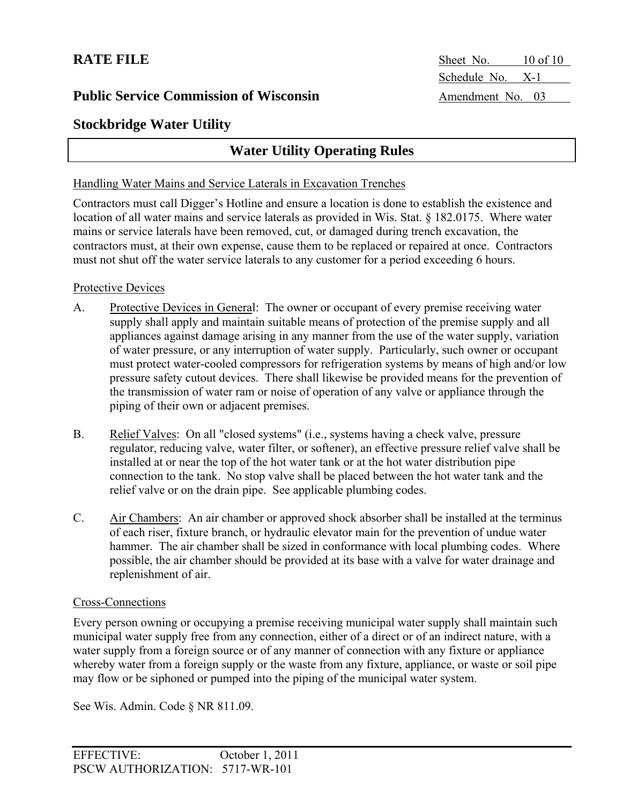**RATE FILE** Sheet No. 10 of 10 Schedule No. X-1

## **Stockbridge Water Utility**

## **Water Utility Operating Rules**

### Handling Water Mains and Service Laterals in Excavation Trenches

Contractors must call Digger's Hotline and ensure a location is done to establish the existence and location of all water mains and service laterals as provided in Wis. Stat. § 182.0175. Where water mains or service laterals have been removed, cut, or damaged during trench excavation, the contractors must, at their own expense, cause them to be replaced or repaired at once. Contractors must not shut off the water service laterals to any customer for a period exceeding 6 hours.

### Protective Devices

- A. Protective Devices in General: The owner or occupant of every premise receiving water supply shall apply and maintain suitable means of protection of the premise supply and all appliances against damage arising in any manner from the use of the water supply, variation of water pressure, or any interruption of water supply. Particularly, such owner or occupant must protect water-cooled compressors for refrigeration systems by means of high and/or low pressure safety cutout devices. There shall likewise be provided means for the prevention of the transmission of water ram or noise of operation of any valve or appliance through the piping of their own or adjacent premises.
- B. Relief Valves: On all "closed systems" (i.e., systems having a check valve, pressure regulator, reducing valve, water filter, or softener), an effective pressure relief valve shall be installed at or near the top of the hot water tank or at the hot water distribution pipe connection to the tank. No stop valve shall be placed between the hot water tank and the relief valve or on the drain pipe. See applicable plumbing codes.
- C. Air Chambers: An air chamber or approved shock absorber shall be installed at the terminus of each riser, fixture branch, or hydraulic elevator main for the prevention of undue water hammer. The air chamber shall be sized in conformance with local plumbing codes. Where possible, the air chamber should be provided at its base with a valve for water drainage and replenishment of air.

### Cross-Connections

Every person owning or occupying a premise receiving municipal water supply shall maintain such municipal water supply free from any connection, either of a direct or of an indirect nature, with a water supply from a foreign source or of any manner of connection with any fixture or appliance whereby water from a foreign supply or the waste from any fixture, appliance, or waste or soil pipe may flow or be siphoned or pumped into the piping of the municipal water system.

See Wis. Admin. Code § NR 811.09.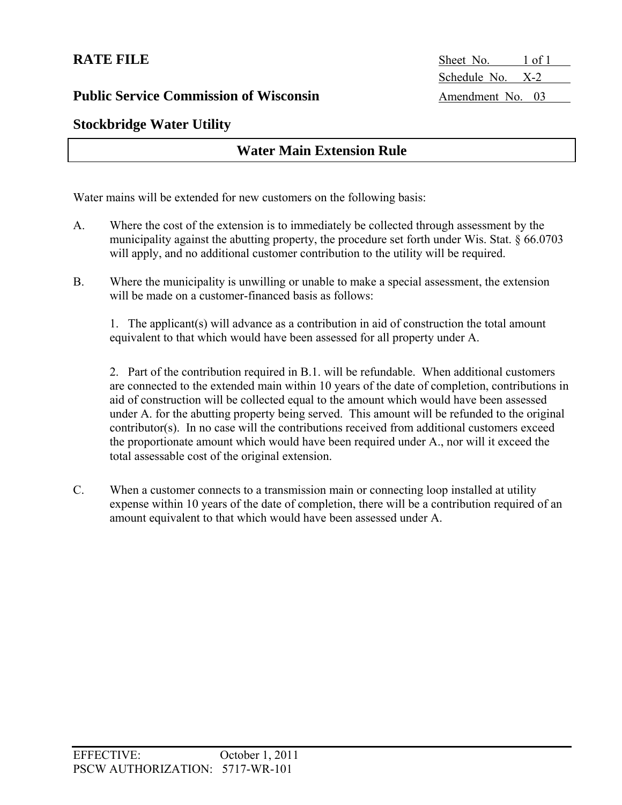**RATE FILE** Sheet No. 1 of 1 Schedule No. X-2

## **Stockbridge Water Utility**

## **Water Main Extension Rule**

Water mains will be extended for new customers on the following basis:

- A. Where the cost of the extension is to immediately be collected through assessment by the municipality against the abutting property, the procedure set forth under Wis. Stat. § 66.0703 will apply, and no additional customer contribution to the utility will be required.
- B. Where the municipality is unwilling or unable to make a special assessment, the extension will be made on a customer-financed basis as follows:

1. The applicant(s) will advance as a contribution in aid of construction the total amount equivalent to that which would have been assessed for all property under A.

2. Part of the contribution required in B.1. will be refundable. When additional customers are connected to the extended main within 10 years of the date of completion, contributions in aid of construction will be collected equal to the amount which would have been assessed under A. for the abutting property being served. This amount will be refunded to the original contributor(s). In no case will the contributions received from additional customers exceed the proportionate amount which would have been required under A., nor will it exceed the total assessable cost of the original extension.

C. When a customer connects to a transmission main or connecting loop installed at utility expense within 10 years of the date of completion, there will be a contribution required of an amount equivalent to that which would have been assessed under A.